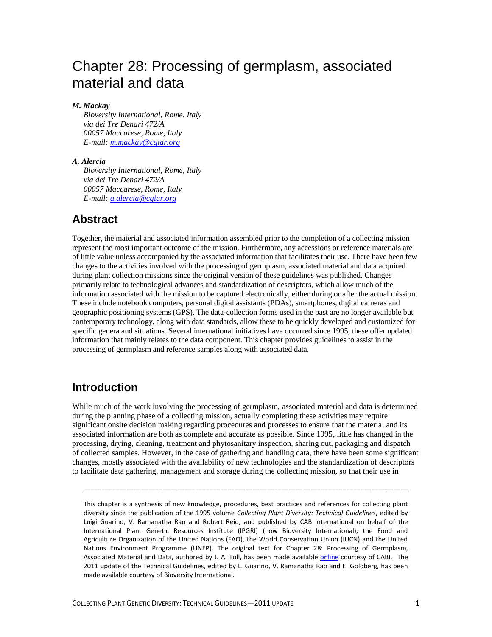# Chapter 28: Processing of germplasm, associated material and data

#### *M. Mackay*

*Bioversity International, Rome, Italy via dei Tre Denari 472/A 00057 Maccarese, Rome, Italy E-mail: [m.mackay@cgiar.org](mailto:m.mackay@cgiar.org)*

#### *A. Alercia*

*Bioversity International, Rome, Italy via dei Tre Denari 472/A 00057 Maccarese, Rome, Italy E-mail: [a.alercia@cgiar.org](mailto:a.alercia@cgiar.org)*

#### **Abstract**

Together, the material and associated information assembled prior to the completion of a collecting mission represent the most important outcome of the mission. Furthermore, any accessions or reference materials are of little value unless accompanied by the associated information that facilitates their use. There have been few changes to the activities involved with the processing of germplasm, associated material and data acquired during plant collection missions since the original version of these guidelines was published. Changes primarily relate to technological advances and standardization of descriptors, which allow much of the information associated with the mission to be captured electronically, either during or after the actual mission. These include notebook computers, personal digital assistants (PDAs), smartphones, digital cameras and geographic positioning systems (GPS). The data-collection forms used in the past are no longer available but contemporary technology, along with data standards, allow these to be quickly developed and customized for specific genera and situations. Several international initiatives have occurred since 1995; these offer updated information that mainly relates to the data component. This chapter provides guidelines to assist in the processing of germplasm and reference samples along with associated data.

### **Introduction**

While much of the work involving the processing of germplasm, associated material and data is determined during the planning phase of a collecting mission, actually completing these activities may require significant onsite decision making regarding procedures and processes to ensure that the material and its associated information are both as complete and accurate as possible. Since 1995, little has changed in the processing, drying, cleaning, treatment and phytosanitary inspection, sharing out, packaging and dispatch of collected samples. However, in the case of gathering and handling data, there have been some significant changes, mostly associated with the availability of new technologies and the standardization of descriptors to facilitate data gathering, management and storage during the collecting mission, so that their use in

\_\_\_\_\_\_\_\_\_\_\_\_\_\_\_\_\_\_\_\_\_\_\_\_\_\_\_\_\_\_\_\_\_\_\_\_\_\_\_\_\_\_\_\_\_\_\_\_\_\_\_\_\_\_\_\_\_\_\_\_\_\_\_\_\_\_\_\_\_\_\_\_\_\_\_\_\_\_\_\_\_\_\_\_\_\_\_\_\_\_

This chapter is a synthesis of new knowledge, procedures, best practices and references for collecting plant diversity since the publication of the 1995 volume *Collecting Plant Diversity: Technical Guidelines*, edited by Luigi Guarino, V. Ramanatha Rao and Robert Reid, and published by CAB International on behalf of the International Plant Genetic Resources Institute (IPGRI) (now Bioversity International), the Food and Agriculture Organization of the United Nations (FAO), the World Conservation Union (IUCN) and the United Nations Environment Programme (UNEP). The original text for Chapter 28: Processing of Germplasm, Associated Material and Data, authored by J. A. Toll, has been made available [online](http://cropgenebank.sgrp.cgiar.org/images/file/procedures/collecting1995/Chapter28.pdf) courtesy of CABI. The 2011 update of the Technical Guidelines, edited by L. Guarino, V. Ramanatha Rao and E. Goldberg, has been made available courtesy of Bioversity International.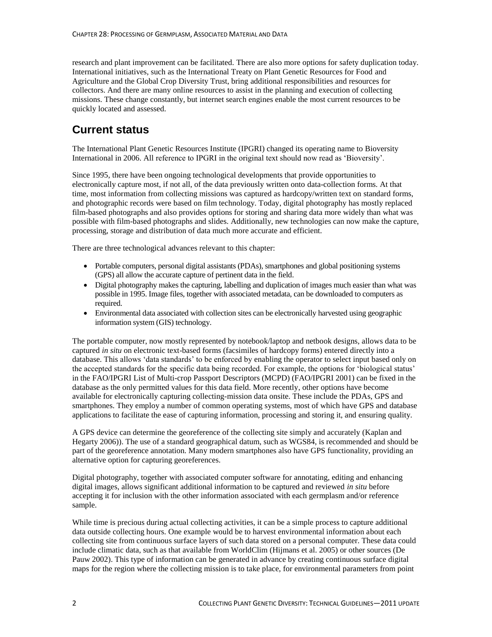research and plant improvement can be facilitated. There are also more options for safety duplication today. International initiatives, such as the International Treaty on Plant Genetic Resources for Food and Agriculture and the Global Crop Diversity Trust, bring additional responsibilities and resources for collectors. And there are many online resources to assist in the planning and execution of collecting missions. These change constantly, but internet search engines enable the most current resources to be quickly located and assessed.

## **Current status**

The International Plant Genetic Resources Institute (IPGRI) changed its operating name to Bioversity International in 2006. All reference to IPGRI in the original text should now read as 'Bioversity'.

Since 1995, there have been ongoing technological developments that provide opportunities to electronically capture most, if not all, of the data previously written onto data-collection forms. At that time, most information from collecting missions was captured as hardcopy/written text on standard forms, and photographic records were based on film technology. Today, digital photography has mostly replaced film-based photographs and also provides options for storing and sharing data more widely than what was possible with film-based photographs and slides. Additionally, new technologies can now make the capture, processing, storage and distribution of data much more accurate and efficient.

There are three technological advances relevant to this chapter:

- Portable computers, personal digital assistants (PDAs), smartphones and global positioning systems (GPS) all allow the accurate capture of pertinent data in the field.
- Digital photography makes the capturing, labelling and duplication of images much easier than what was possible in 1995. Image files, together with associated metadata, can be downloaded to computers as required.
- Environmental data associated with collection sites can be electronically harvested using geographic information system (GIS) technology.

The portable computer, now mostly represented by notebook/laptop and netbook designs, allows data to be captured *in situ* on electronic text-based forms (facsimiles of hardcopy forms) entered directly into a database. This allows 'data standards' to be enforced by enabling the operator to select input based only on the accepted standards for the specific data being recorded. For example, the options for 'biological status' in the FAO/IPGRI List of Multi-crop Passport Descriptors (MCPD) (FAO/IPGRI 2001) can be fixed in the database as the only permitted values for this data field. More recently, other options have become available for electronically capturing collecting-mission data onsite. These include the PDAs, GPS and smartphones. They employ a number of common operating systems, most of which have GPS and database applications to facilitate the ease of capturing information, processing and storing it, and ensuring quality.

A GPS device can determine the georeference of the collecting site simply and accurately (Kaplan and Hegarty 2006)). The use of a standard geographical datum, such as WGS84, is recommended and should be part of the georeference annotation. Many modern smartphones also have GPS functionality, providing an alternative option for capturing georeferences.

Digital photography, together with associated computer software for annotating, editing and enhancing digital images, allows significant additional information to be captured and reviewed *in situ* before accepting it for inclusion with the other information associated with each germplasm and/or reference sample.

While time is precious during actual collecting activities, it can be a simple process to capture additional data outside collecting hours. One example would be to harvest environmental information about each collecting site from continuous surface layers of such data stored on a personal computer. These data could include climatic data, such as that available from WorldClim (Hijmans et al. 2005) or other sources (De Pauw 2002). This type of information can be generated in advance by creating continuous surface digital maps for the region where the collecting mission is to take place, for environmental parameters from point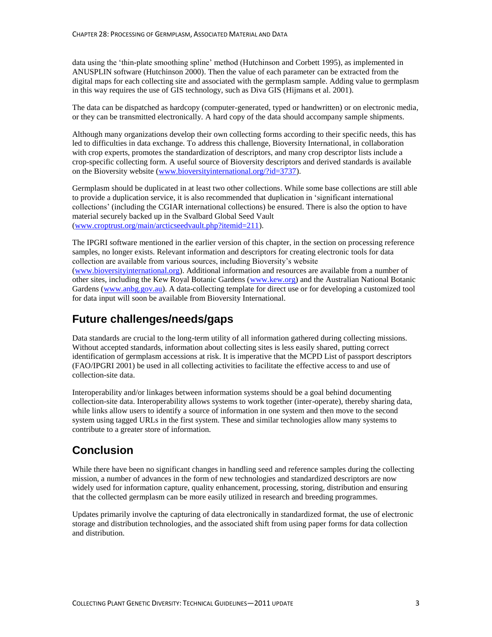data using the 'thin-plate smoothing spline' method (Hutchinson and Corbett 1995), as implemented in ANUSPLIN software (Hutchinson 2000). Then the value of each parameter can be extracted from the digital maps for each collecting site and associated with the germplasm sample. Adding value to germplasm in this way requires the use of GIS technology, such as Diva GIS (Hijmans et al. 2001).

The data can be dispatched as hardcopy (computer-generated, typed or handwritten) or on electronic media, or they can be transmitted electronically. A hard copy of the data should accompany sample shipments.

Although many organizations develop their own collecting forms according to their specific needs, this has led to difficulties in data exchange. To address this challenge, Bioversity International, in collaboration with crop experts, promotes the standardization of descriptors, and many crop descriptor lists include a crop-specific collecting form. A useful source of Bioversity descriptors and derived standards is available on the Bioversity website [\(www.bioversityinternational.org/?id=3737\)](http://www.bioversityinternational.org/?id=3737).

Germplasm should be duplicated in at least two other collections. While some base collections are still able to provide a duplication service, it is also recommended that duplication in 'significant international collections' (including the CGIAR international collections) be ensured. There is also the option to have material securely backed up in the Svalbard Global Seed Vault [\(www.croptrust.org/main/arcticseedvault.php?itemid=211\)](http://www.croptrust.org/main/arcticseedvault.php?itemid=211).

The IPGRI software mentioned in the earlier version of this chapter, in the section on processing reference samples, no longer exists. Relevant information and descriptors for creating electronic tools for data collection are available from various sources, including Bioversity's website [\(www.bioversityinternational.org\)](http://www.bioversityinternational.org/). Additional information and resources are available from a number of other sites, including the Kew Royal Botanic Gardens [\(www.kew.org\)](http://www.kew.org/) and the Australian National Botanic Gardens [\(www.anbg.gov.au\)](http://www.anbg.gov.au/). A data-collecting template for direct use or for developing a customized tool for data input will soon be available from Bioversity International.

## **Future challenges/needs/gaps**

Data standards are crucial to the long-term utility of all information gathered during collecting missions. Without accepted standards, information about collecting sites is less easily shared, putting correct identification of germplasm accessions at risk. It is imperative that the MCPD List of passport descriptors (FAO/IPGRI 2001) be used in all collecting activities to facilitate the effective access to and use of collection-site data.

Interoperability and/or linkages between information systems should be a goal behind documenting collection-site data. Interoperability allows systems to work together (inter-operate), thereby sharing data, while links allow users to identify a source of information in one system and then move to the second system using tagged URLs in the first system. These and similar technologies allow many systems to contribute to a greater store of information.

## **Conclusion**

While there have been no significant changes in handling seed and reference samples during the collecting mission, a number of advances in the form of new technologies and standardized descriptors are now widely used for information capture, quality enhancement, processing, storing, distribution and ensuring that the collected germplasm can be more easily utilized in research and breeding programmes.

Updates primarily involve the capturing of data electronically in standardized format, the use of electronic storage and distribution technologies, and the associated shift from using paper forms for data collection and distribution.